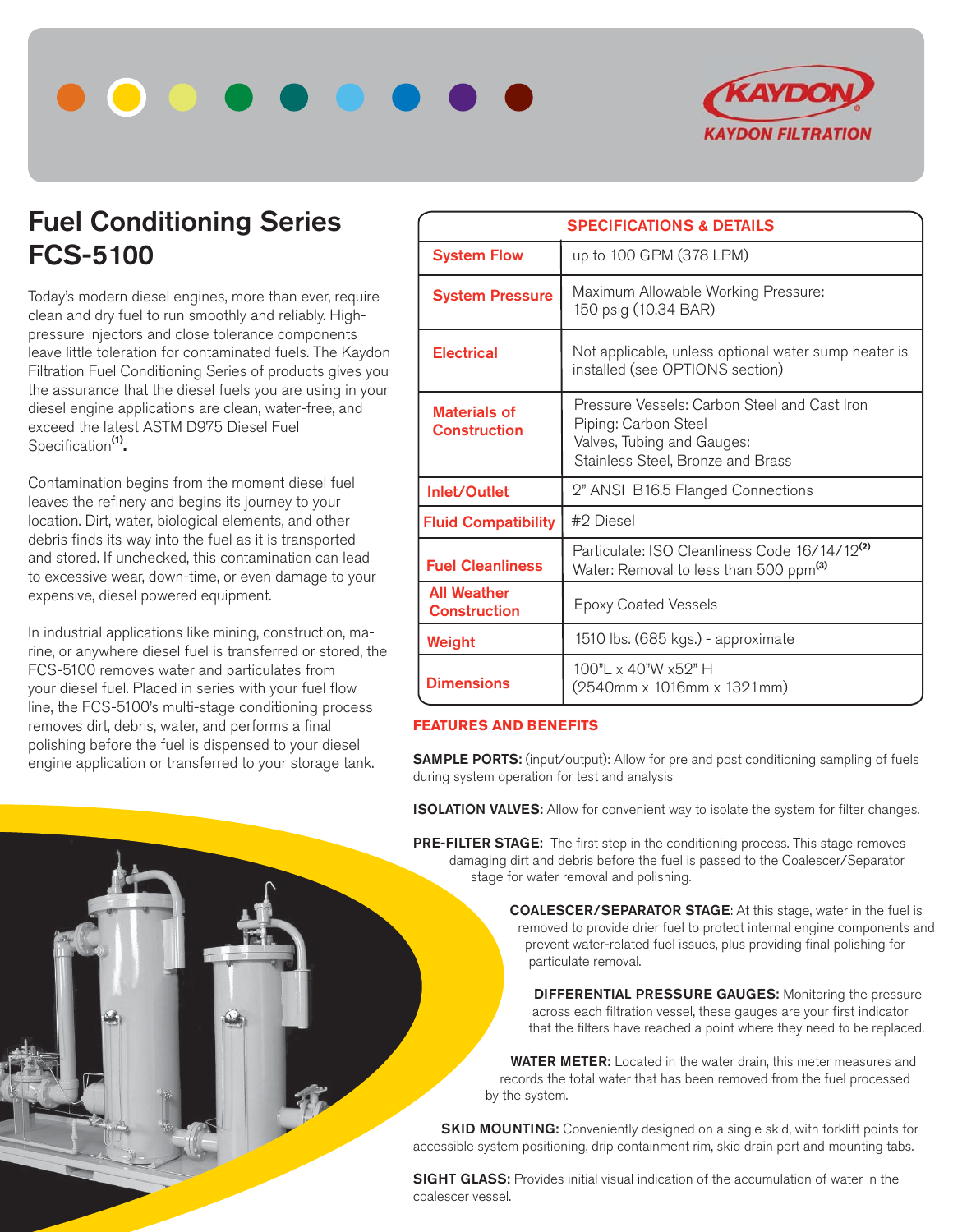



# **Fuel Conditioning Series FCS-5100**

Today's modern diesel engines, more than ever, require clean and dry fuel to run smoothly and reliably. Highpressure injectors and close tolerance components leave little toleration for contaminated fuels. The Kaydon Filtration Fuel Conditioning Series of products gives you the assurance that the diesel fuels you are using in your diesel engine applications are clean, water-free, and exceed the latest ASTM D975 Diesel Fuel Specification**(1).**

Contamination begins from the moment diesel fuel leaves the refinery and begins its journey to your location. Dirt, water, biological elements, and other debris finds its way into the fuel as it is transported and stored. If unchecked, this contamination can lead to excessive wear, down-time, or even damage to your expensive, diesel powered equipment.

In industrial applications like mining, construction, marine, or anywhere diesel fuel is transferred or stored, the FCS-5100 removes water and particulates from your diesel fuel. Placed in series with your fuel flow line, the FCS-5100's multi-stage conditioning process removes dirt, debris, water, and performs a final polishing before the fuel is dispensed to your diesel engine application or transferred to your storage tank.

| <b>SPECIFICATIONS &amp; DETAILS</b>        |                                                                                                                                         |  |
|--------------------------------------------|-----------------------------------------------------------------------------------------------------------------------------------------|--|
| <b>System Flow</b>                         | up to 100 GPM (378 LPM)                                                                                                                 |  |
| <b>System Pressure</b>                     | Maximum Allowable Working Pressure:<br>150 psig (10.34 BAR)                                                                             |  |
| <b>Electrical</b>                          | Not applicable, unless optional water sump heater is<br>installed (see OPTIONS section)                                                 |  |
| <b>Materials of</b><br><b>Construction</b> | Pressure Vessels: Carbon Steel and Cast Iron<br>Piping: Carbon Steel<br>Valves, Tubing and Gauges:<br>Stainless Steel, Bronze and Brass |  |
| Inlet/Outlet                               | 2" ANSI B16.5 Flanged Connections                                                                                                       |  |
| <b>Fluid Compatibility</b>                 | #2 Diesel                                                                                                                               |  |
| <b>Fuel Cleanliness</b>                    | Particulate: ISO Cleanliness Code 16/14/12 <sup>(2)</sup><br>Water: Removal to less than 500 ppm <sup>(3)</sup>                         |  |
| <b>All Weather</b><br><b>Construction</b>  | <b>Epoxy Coated Vessels</b>                                                                                                             |  |
| Weight                                     | 1510 lbs. (685 kgs.) - approximate                                                                                                      |  |
| <b>Dimensions</b>                          | 100"L x 40"W x52" H<br>(2540mm x 1016mm x 1321mm)                                                                                       |  |

## **FEATURES AND BENEFITS**

**SAMPLE PORTS:** (input/output): Allow for pre and post conditioning sampling of fuels during system operation for test and analysis

**ISOLATION VALVES:** Allow for convenient way to isolate the system for filter changes.

**PRE-FILTER STAGE:** The first step in the conditioning process. This stage removes damaging dirt and debris before the fuel is passed to the Coalescer/Separator stage for water removal and polishing.

> **COALESCER/SEPARATOR STAGE**: At this stage, water in the fuel is removed to provide drier fuel to protect internal engine components and prevent water-related fuel issues, plus providing final polishing for particulate removal.

 **DIFFERENTIAL PRESSURE GAUGES:** Monitoring the pressure across each filtration vessel, these gauges are your first indicator that the filters have reached a point where they need to be replaced.

 **WATER METER:** Located in the water drain, this meter measures and records the total water that has been removed from the fuel processed by the system.

**SKID MOUNTING:** Conveniently designed on a single skid, with forklift points for accessible system positioning, drip containment rim, skid drain port and mounting tabs.

**SIGHT GLASS:** Provides initial visual indication of the accumulation of water in the coalescer vessel.